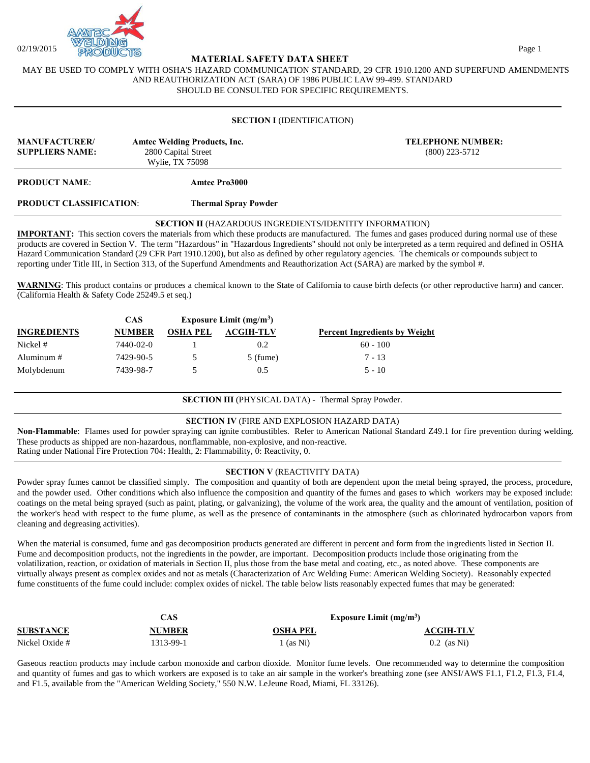

## **MATERIAL SAFETY DATA SHEET**

MAY BE USED TO COMPLY WITH OSHA'S HAZARD COMMUNICATION STANDARD, 29 CFR 1910.1200 AND SUPERFUND AMENDMENTS AND REAUTHORIZATION ACT (SARA) OF 1986 PUBLIC LAW 99-499. STANDARD SHOULD BE CONSULTED FOR SPECIFIC REQUIREMENTS.

### **SECTION I** (IDENTIFICATION)

| <b>MANUFACTURER/</b><br><b>Amtec Welding Products, Inc.</b><br><b>SUPPLIERS NAME:</b><br>2800 Capital Street<br>Wylie, TX 75098 |                             | <b>TELEPHONE NUMBER:</b><br>$(800)$ 223-5712 |
|---------------------------------------------------------------------------------------------------------------------------------|-----------------------------|----------------------------------------------|
| <b>PRODUCT NAME:</b>                                                                                                            | Amtec Pro3000               |                                              |
| <b>PRODUCT CLASSIFICATION:</b>                                                                                                  | <b>Thermal Spray Powder</b> |                                              |

### **SECTION II** (HAZARDOUS INGREDIENTS/IDENTITY INFORMATION)

**IMPORTANT:** This section covers the materials from which these products are manufactured. The fumes and gases produced during normal use of these products are covered in Section V. The term "Hazardous" in "Hazardous Ingredients" should not only be interpreted as a term required and defined in OSHA Hazard Communication Standard (29 CFR Part 1910.1200), but also as defined by other regulatory agencies. The chemicals or compounds subject to reporting under Title III, in Section 313, of the Superfund Amendments and Reauthorization Act (SARA) are marked by the symbol #.

**WARNING**: This product contains or produces a chemical known to the State of California to cause birth defects (or other reproductive harm) and cancer. (California Health & Safety Code 25249.5 et seq.)

|                    | CAS           |                 | Exposure Limit $(mg/m3)$ |                                      |
|--------------------|---------------|-----------------|--------------------------|--------------------------------------|
| <b>INGREDIENTS</b> | <b>NUMBER</b> | <b>OSHA PEL</b> | ACGIH-TLV                | <b>Percent Ingredients by Weight</b> |
| Nickel #           | 7440-02-0     |                 | 0.2                      | $60 - 100$                           |
| Aluminum $#$       | 7429-90-5     |                 | $5$ (fume)               | $7 - 13$                             |
| Molybdenum         | 7439-98-7     |                 | 0.5                      | $5 - 10$                             |

### **SECTION III** (PHYSICAL DATA) - Thermal Spray Powder.

### **SECTION IV** (FIRE AND EXPLOSION HAZARD DATA)

**Non-Flammable**: Flames used for powder spraying can ignite combustibles. Refer to American National Standard Z49.1 for fire prevention during welding. These products as shipped are non-hazardous, nonflammable, non-explosive, and non-reactive. Rating under National Fire Protection 704: Health, 2: Flammability, 0: Reactivity, 0.

### **SECTION V** (REACTIVITY DATA)

Powder spray fumes cannot be classified simply. The composition and quantity of both are dependent upon the metal being sprayed, the process, procedure, and the powder used. Other conditions which also influence the composition and quantity of the fumes and gases to which workers may be exposed include: coatings on the metal being sprayed (such as paint, plating, or galvanizing), the volume of the work area, the quality and the amount of ventilation, position of the worker's head with respect to the fume plume, as well as the presence of contaminants in the atmosphere (such as chlorinated hydrocarbon vapors from cleaning and degreasing activities).

When the material is consumed, fume and gas decomposition products generated are different in percent and form from the ingredients listed in Section II. Fume and decomposition products, not the ingredients in the powder, are important. Decomposition products include those originating from the volatilization, reaction, or oxidation of materials in Section II, plus those from the base metal and coating, etc., as noted above. These components are virtually always present as complex oxides and not as metals (Characterization of Arc Welding Fume: American Welding Society). Reasonably expected fume constituents of the fume could include: complex oxides of nickel. The table below lists reasonably expected fumes that may be generated:

|                  | ΞAS       | Exposure Limit $(mg/m3)$ |                  |
|------------------|-----------|--------------------------|------------------|
| <b>SUBSTANCE</b> | NUMBER    | OSHA PEL                 | <b>ACGIH-TLV</b> |
| Nickel Oxide #   | 1313-99-1 | $\frac{1}{2}$ (as Ni)    | $0.2$ (as Ni)    |

Gaseous reaction products may include carbon monoxide and carbon dioxide. Monitor fume levels. One recommended way to determine the composition and quantity of fumes and gas to which workers are exposed is to take an air sample in the worker's breathing zone (see ANSI/AWS F1.1, F1.2, F1.3, F1.4, and F1.5, available from the "American Welding Society," 550 N.W. LeJeune Road, Miami, FL 33126).